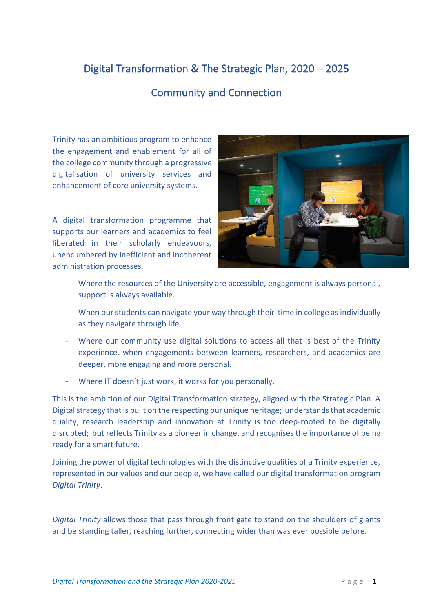## Digital Transformation & The Strategic Plan, 2020 – 2025

## Community and Connection

Trinity has an ambitious program to enhance the engagement and enablement for all of the college community through a progressive digitalisation of university services and enhancement of core university systems.

A digital transformation programme that supports our learners and academics to feel liberated in their scholarly endeavours, unencumbered by inefficient and incoherent administration processes.



- Where the resources of the University are accessible, engagement is always personal, support is always available.
- When our students can navigate your way through their time in college as individually as they navigate through life.
- Where our community use digital solutions to access all that is best of the Trinity experience, when engagements between learners, researchers, and academics are deeper, more engaging and more personal.
- Where IT doesn't just work, it works for you personally.

This is the ambition of our Digital Transformation strategy, aligned with the Strategic Plan. A Digital strategy that is built on the respecting our unique heritage; understands that academic quality, research leadership and innovation at Trinity is too deep-rooted to be digitally disrupted; but reflects Trinity as a pioneer in change, and recognises the importance of being ready for a smart future.

Joining the power of digital technologies with the distinctive qualities of a Trinity experience, represented in our values and our people, we have called our digital transformation program *Digital Trinity*.

*Digital Trinity* allows those that pass through front gate to stand on the shoulders of giants and be standing taller, reaching further, connecting wider than was ever possible before.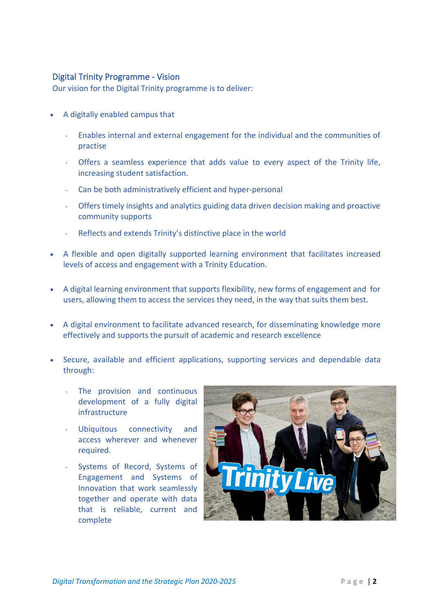## Digital Trinity Programme - Vision

Our vision for the Digital Trinity programme is to deliver:

- A digitally enabled campus that
	- Enables internal and external engagement for the individual and the communities of practise
	- Offers a seamless experience that adds value to every aspect of the Trinity life, increasing student satisfaction.
	- Can be both administratively efficient and hyper-personal
	- Offers timely insights and analytics guiding data driven decision making and proactive community supports
	- Reflects and extends Trinity's distinctive place in the world
- A flexible and open digitally supported learning environment that facilitates increased levels of access and engagement with a Trinity Education.
- A digital learning environment that supports flexibility, new forms of engagement and for users, allowing them to access the services they need, in the way that suits them best.
- A digital environment to facilitate advanced research, for disseminating knowledge more effectively and supports the pursuit of academic and research excellence
- Secure, available and efficient applications, supporting services and dependable data through:
	- The provision and continuous development of a fully digital infrastructure
	- Ubiquitous connectivity and access wherever and whenever required.
	- Systems of Record, Systems of Engagement and Systems of Innovation that work seamlessly together and operate with data that is reliable, current and complete

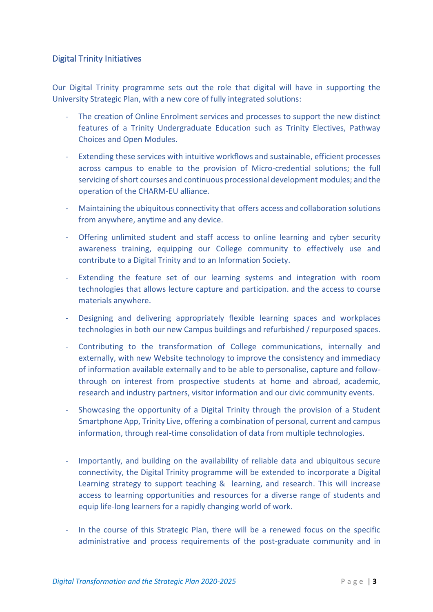## Digital Trinity Initiatives

Our Digital Trinity programme sets out the role that digital will have in supporting the University Strategic Plan, with a new core of fully integrated solutions:

- The creation of Online Enrolment services and processes to support the new distinct features of a Trinity Undergraduate Education such as Trinity Electives, Pathway Choices and Open Modules.
- Extending these services with intuitive workflows and sustainable, efficient processes across campus to enable to the provision of Micro-credential solutions; the full servicing of short courses and continuous processional development modules; and the operation of the CHARM-EU alliance.
- Maintaining the ubiquitous connectivity that offers access and collaboration solutions from anywhere, anytime and any device.
- Offering unlimited student and staff access to online learning and cyber security awareness training, equipping our College community to effectively use and contribute to a Digital Trinity and to an Information Society.
- Extending the feature set of our learning systems and integration with room technologies that allows lecture capture and participation. and the access to course materials anywhere.
- Designing and delivering appropriately flexible learning spaces and workplaces technologies in both our new Campus buildings and refurbished / repurposed spaces.
- Contributing to the transformation of College communications, internally and externally, with new Website technology to improve the consistency and immediacy of information available externally and to be able to personalise, capture and followthrough on interest from prospective students at home and abroad, academic, research and industry partners, visitor information and our civic community events.
- Showcasing the opportunity of a Digital Trinity through the provision of a Student Smartphone App, Trinity Live, offering a combination of personal, current and campus information, through real-time consolidation of data from multiple technologies.
- Importantly, and building on the availability of reliable data and ubiquitous secure connectivity, the Digital Trinity programme will be extended to incorporate a Digital Learning strategy to support teaching & learning, and research. This will increase access to learning opportunities and resources for a diverse range of students and equip life-long learners for a rapidly changing world of work.
- In the course of this Strategic Plan, there will be a renewed focus on the specific administrative and process requirements of the post-graduate community and in